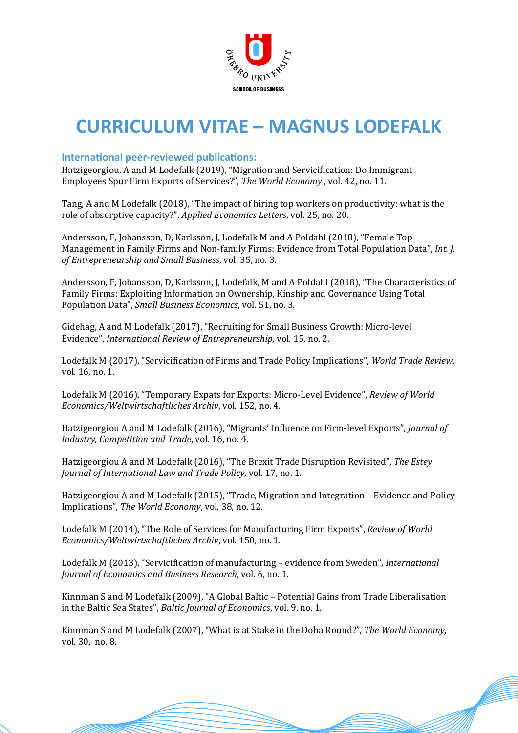

# **CURRICULUM VITAE – MAGNUS LODEFALK**

## **International peer-reviewed publications:**

Hatzigeorgiou, A and M Lodefalk (2019), "Migration and Servicification: Do Immigrant Employees Spur Firm Exports of Services?", *The World Economy*, vol. 42, no. 11.

Tang, A and M Lodefalk (2018), "The impact of hiring top workers on productivity: what is the role of absorptive capacity?", *Applied Economics Letters*, vol. 25, no. 20.

Andersson, F, Johansson, D, Karlsson, J, Lodefalk M and A Poldahl (2018), "Female Top Management in Family Firms and Non-family Firms: Evidence from Total Population Data", *Int. J. of Entrepreneurship and Small Business*, vol. 35, no. 3.

Andersson, F, Johansson, D, Karlsson, J, Lodefalk, M and A Poldahl (2018), "The Characteristics of Family Firms: Exploiting Information on Ownership, Kinship and Governance Using Total Population Data", *Small Business Economics*, vol. 51, no. 3.

Gidehag, A and M Lodefalk (2017), "Recruiting for Small Business Growth: Micro-level Evidence", *International Review of Entrepreneurship*, vol. 15, no. 2.

Lodefalk M (2017), "Servicification of Firms and Trade Policy Implications", *World Trade Review*, vol. 16, no. 1.

Lodefalk M (2016), "Temporary Expats for Exports: Micro-Level Evidence", *Review of World Economics/Weltwirtschaftliches Archiv*, vol. 152, no. 4.

Hatzigeorgiou A and M Lodefalk (2016), "Migrants' Influence on Firm-level Exports", *Journal of Industry, Competition and Trade, vol.* 16, no. 4.

Hatzigeorgiou A and M Lodefalk (2016), "The Brexit Trade Disruption Revisited", The Estey *Journal of International Law and Trade Policy, vol.* 17, no. 1.

Hatzigeorgiou A and M Lodefalk (2015), "Trade, Migration and Integration – Evidence and Policy Implications", The World Economy, vol. 38, no. 12.

Lodefalk M (2014), "The Role of Services for Manufacturing Firm Exports", *Review of World Economics/Weltwirtschaftliches Archiv*, vol. 150, no. 1.

Lodefalk M (2013), "Servicification of manufacturing – evidence from Sweden", *International Journal of Economics and Business Research, vol.* 6, no. 1.

Kinnman S and M Lodefalk (2009), "A Global Baltic - Potential Gains from Trade Liberalisation in the Baltic Sea States", *Baltic Journal of Economics*, vol. 9, no. 1.

Kinnman S and M Lodefalk (2007), "What is at Stake in the Doha Round?", *The World Economy*, vol. 30, no. 8.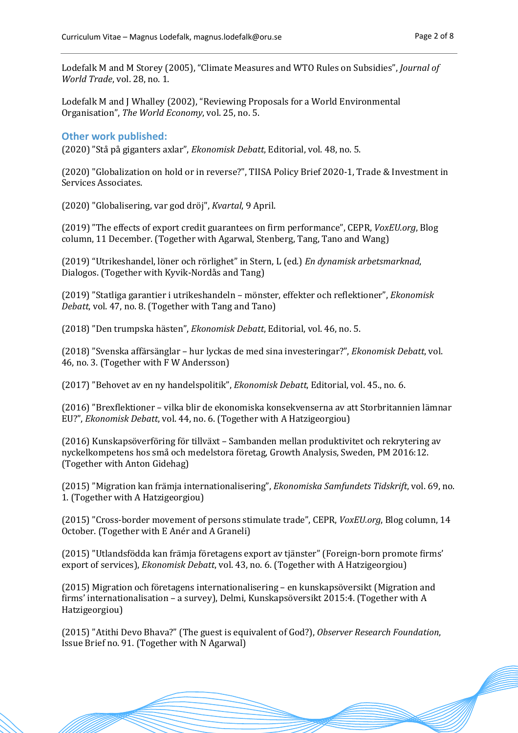Lodefalk M and M Storey (2005), "Climate Measures and WTO Rules on Subsidies", *Journal of World Trade*, vol. 28, no. 1.

Lodefalk M and J Whalley (2002), "Reviewing Proposals for a World Environmental Organisation", *The World Economy*, vol. 25, no. 5.

#### **Other work published:**

(2020) "Stå på giganters axlar", *Ekonomisk Debatt*, Editorial, vol. 48, no. 5.

(2020) "Globalization on hold or in reverse?", TIISA Policy Brief 2020-1, Trade & Investment in Services Associates.

(2020) "Globalisering, var god dröj", *Kvartal*, 9 April.

(2019) "The effects of export credit guarantees on firm performance", CEPR, *VoxEU.org*, Blog column, 11 December. (Together with Agarwal, Stenberg, Tang, Tano and Wang)

(2019) "Utrikeshandel, löner och rörlighet" in Stern, L (ed.) En dynamisk arbetsmarknad, Dialogos. (Together with Kyvik-Nordås and Tang)

(2019) "Statliga garantier i utrikeshandeln – mönster, effekter och reflektioner", *Ekonomisk Debatt*, vol. 47, no. 8. (Together with Tang and Tano)

(2018) "Den trumpska hästen", *Ekonomisk Debatt*, Editorial, vol. 46, no. 5.

(2018) "Svenska affä rsänglar – hur lyckas de med sina investeringar?", *Ekonomisk Debatt*, vol. 46, no. 3. (Together with F W Andersson)

(2017) "Behovet av en ny handelspolitik", *Ekonomisk Debatt*, Editorial, vol. 45., no. 6.

(2016) "Brexflektioner – vilka blir de ekonomiska konsekvenserna av att Storbritannien lämnar EU?", *Ekonomisk Debatt*, vol. 44, no. 6. (Together with A Hatzigeorgiou)

(2016) Kunskapsöverföring för tillväxt – Sambanden mellan produktivitet och rekrytering av nyckelkompetens hos små och medelstora företag, Growth Analysis, Sweden, PM 2016:12. (Together with Anton Gidehag)

(2015) "Migration kan främja internationalisering", *Ekonomiska Samfundets Tidskrift*, vol. 69, no. 1. (Together with A Hatzigeorgiou)

(2015) "Cross-border movement of persons stimulate trade", CEPR, *VoxEU.org*, Blog column, 14 October. (Together with E Anér and A Graneli)

(2015) "Utlandsfödda kan främja företagens export av tjänster" (Foreign-born promote firms' export of services), *Ekonomisk Debatt*, vol. 43, no. 6. (Together with A Hatzigeorgiou)

(2015) Migration och företagens internationalisering – en kunskapsöversikt (Migration and firms' internationalisation – a survey), Delmi, Kunskapsöversikt  $2015:4$ . (Together with A Hatzigeorgiou)

(2015) "Atithi Devo Bhava?" (The guest is equivalent of God?), Observer Research Foundation, Issue Brief no. 91. (Together with N Agarwal)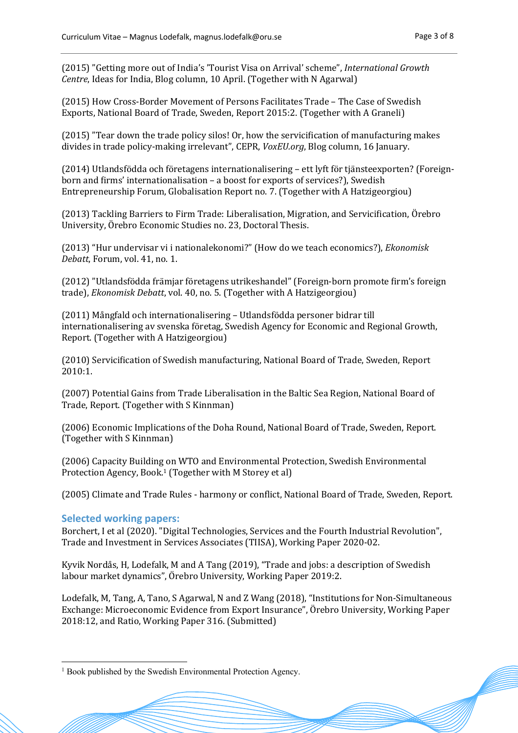(2015) "Getting more out of India's 'Tourist Visa on Arrival' scheme", *International Growth Centre*, Ideas for India, Blog column, 10 April. (Together with N Agarwal)

(2015) How Cross-Border Movement of Persons Facilitates Trade - The Case of Swedish Exports, National Board of Trade, Sweden, Report 2015:2. (Together with A Graneli)

 $(2015)$  "Tear down the trade policy silos! Or, how the servicification of manufacturing makes divides in trade policy-making irrelevant", CEPR, *VoxEU.org*, Blog column, 16 January.

(2014) Utlandsfödda och företagens internationalisering – ett lyft för tjänsteexporten? (Foreignborn and firms' internationalisation – a boost for exports of services?), Swedish Entrepreneurship Forum, Globalisation Report no. 7. (Together with A Hatzigeorgiou)

(2013) Tackling Barriers to Firm Trade: Liberalisation, Migration, and Servicification, Örebro University, Örebro Economic Studies no. 23, Doctoral Thesis.

(2013) "Hur undervisar vi i nationalekonomi?" (How do we teach economics?), *Ekonomisk Debatt*, Forum, vol. 41, no. 1.

(2012) "Utlandsfödda främjar företagens utrikeshandel" (Foreign-born promote firm's foreign trade), *Ekonomisk Debatt*, vol. 40, no. 5. (Together with A Hatzigeorgiou)

(2011) Mångfald och internationalisering – Utlandsfödda personer bidrar till internationalisering av svenska företag, Swedish Agency for Economic and Regional Growth, Report. (Together with A Hatzigeorgiou)

(2010) Servicification of Swedish manufacturing, National Board of Trade, Sweden, Report 2010:1.

(2007) Potential Gains from Trade Liberalisation in the Baltic Sea Region, National Board of Trade, Report. (Together with S Kinnman)

(2006) Economic Implications of the Doha Round, National Board of Trade, Sweden, Report. (Together with S Kinnman)

(2006) Capacity Building on WTO and Environmental Protection, Swedish Environmental Protection Agency, Book.<sup>1</sup> (Together with M Storey et al)

(2005) Climate and Trade Rules - harmony or conflict, National Board of Trade, Sweden, Report.

#### **9 Selected working papers:**

Borchert, I et al (2020). "Digital Technologies, Services and the Fourth Industrial Revolution", Trade and Investment in Services Associates (TIISA), Working Paper 2020-02.

Kyvik Nordås, H, Lodefalk, M and A Tang (2019), "Trade and jobs: a description of Swedish labour market dynamics", Örebro University, Working Paper 2019:2.

Lodefalk, M, Tang, A, Tano, S Agarwal, N and Z Wang (2018), "Institutions for Non-Simultaneous Exchange: Microeconomic Evidence from Export Insurance", Örebro University, Working Paper 2018:12, and Ratio, Working Paper 316. (Submitted)

<sup>&</sup>lt;sup>1</sup> Book published by the Swedish Environmental Protection Agency.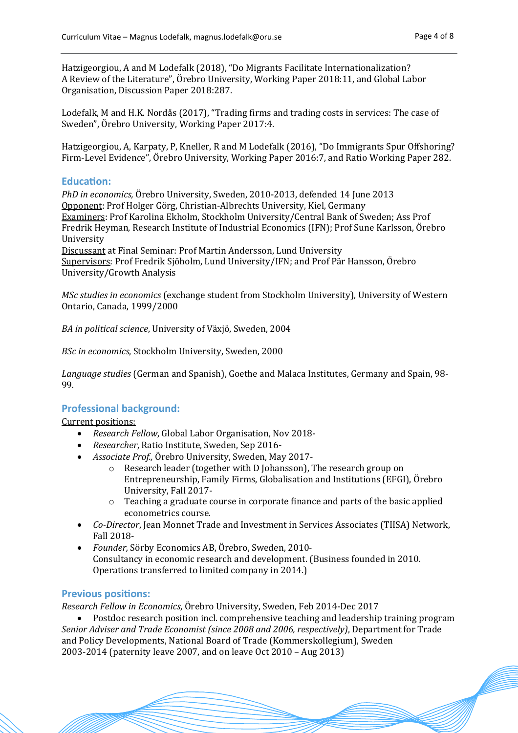Hatzigeorgiou, A and M Lodefalk (2018), "Do Migrants Facilitate Internationalization? A Review of the Literature", Örebro University, Working Paper 2018:11, and Global Labor Organisation, Discussion Paper 2018:287.

Lodefalk, M and H.K. Nordås (2017), "Trading firms and trading costs in services: The case of Sweden", Örebro University, Working Paper 2017:4.

Hatzigeorgiou, A, Karpaty, P, Kneller, R and M Lodefalk (2016), "Do Immigrants Spur Offshoring? Firm-Level Evidence", Örebro University, Working Paper 2016:7, and Ratio Working Paper 282.

#### Education:

*PhD* in economics, Örebro University, Sweden, 2010-2013, defended 14 June 2013 Opponent: Prof Holger Görg, Christian-Albrechts University, Kiel, Germany Examiners: Prof Karolina Ekholm, Stockholm University/Central Bank of Sweden; Ass Prof Fredrik Heyman, Research Institute of Industrial Economics (IFN); Prof Sune Karlsson, Örebro University

Discussant at Final Seminar: Prof Martin Andersson, Lund University Supervisors: Prof Fredrik Sjöholm, Lund University/IFN; and Prof Pär Hansson, Örebro University/Growth Analysis 

*MSc studies in economics* (exchange student from Stockholm University), University of Western Ontario, Canada, 1999/2000

*BA in political science*, University of Växjö, Sweden, 2004

*BSc in economics*, Stockholm University, Sweden, 2000

Language studies (German and Spanish), Goethe and Malaca Institutes, Germany and Spain, 98-99.

#### **Professional background:**

Current positions:

- *Research Fellow,* Global Labor Organisation, Nov 2018-
- Researcher, Ratio Institute, Sweden, Sep 2016-
- Associate Prof., Örebro University, Sweden, May 2017-
	- $\circ$  Research leader (together with D Johansson), The research group on Entrepreneurship, Family Firms, Globalisation and Institutions (EFGI). Örebro University, Fall 2017-
	- $\circ$  Teaching a graduate course in corporate finance and parts of the basic applied econometrics course.
- *Co-Director*, Jean Monnet Trade and Investment in Services Associates (TIISA) Network, Fall 2018-
- *Founder, Sörby Economics AB, Örebro, Sweden, 2010-*Consultancy in economic research and development. (Business founded in 2010. Operations transferred to limited company in 2014.)

## **Previous positions:**

*Research Fellow in Economics*, On rebro University, Sweden, Feb 2014-Dec 2017

• Postdoc research position incl. comprehensive teaching and leadership training program *Senior Adviser and Trade Economist (since 2008 and 2006, respectively)*, Department for Trade and Policy Developments, National Board of Trade (Kommerskollegium), Sweden 2003-2014 (paternity leave 2007, and on leave Oct 2010 – Aug 2013)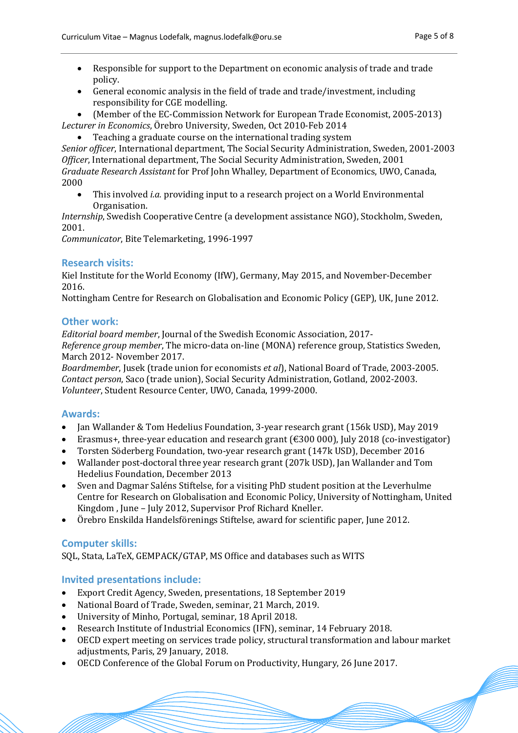- Responsible for support to the Department on economic analysis of trade and trade policy.
- General economic analysis in the field of trade and trade/investment, including responsibility for CGE modelling.
- (Member of the EC-Commission Network for European Trade Economist, 2005-2013) Lecturer in *Economics*, Örebro University, Sweden, Oct 2010-Feb 2014
	- Teaching a graduate course on the international trading system

*Senior officer*, International department, The Social Security Administration, Sweden, 2001-2003 *Officer*, International department, The Social Security Administration, Sweden, 2001 *Graduate Research Assistant* for Prof John Whalley, Department of Economics, UWO, Canada, 2000

This involved *i.a.* providing input to a research project on a World Environmental Organisation.

*Internship*, Swedish Cooperative Centre (a development assistance NGO), Stockholm, Sweden, 2001.

*Communicator*, Bite Telemarketing, 1996-1997

## **Research visits:**

Kiel Institute for the World Economy (IfW), Germany, May 2015, and November-December 2016.

Nottingham Centre for Research on Globalisation and Economic Policy (GEP), UK, June 2012.

## **Other work:**

*Editorial board member*, Journal of the Swedish Economic Association, 2017- *Reference group member*, The micro-data on-line (MONA) reference group, Statistics Sweden, March 2012- November 2017.

*Boardmember*, Jusek (trade union for economists *et al*), National Board of Trade, 2003-2005. *Contact person*, Saco (trade union), Social Security Administration, Gotland, 2002-2003. Volunteer, Student Resource Center, UWO, Canada, 1999-2000.

## **Awards:**

- Ian Wallander & Tom Hedelius Foundation, 3-year research grant (156k USD), May 2019
- Erasmus+, three-year education and research grant  $(\text{\textsterling}300\,000)$ , July 2018 (co-investigator)
- Torsten Söderberg Foundation, two-year research grant (147k USD), December 2016
- Wallander post-doctoral three year research grant (207k USD), Ian Wallander and Tom Hedelius Foundation, December 2013
- Sven and Dagmar Saléns Stiftelse, for a visiting PhD student position at the Leverhulme Centre for Research on Globalisation and Economic Policy, University of Nottingham, United Kingdom, June - July 2012, Supervisor Prof Richard Kneller.
- Örebro Enskilda Handelsförenings Stiftelse, award for scientific paper, June 2012.

## **Computer skills:**

SQL, Stata, LaTeX, GEMPACK/GTAP, MS Office and databases such as WITS

## **Invited presentations include:**

- Export Credit Agency, Sweden, presentations, 18 September 2019
- National Board of Trade, Sweden, seminar, 21 March, 2019.
- University of Minho, Portugal, seminar, 18 April 2018.
- Research Institute of Industrial Economics (IFN), seminar, 14 February 2018.
- OECD expert meeting on services trade policy, structural transformation and labour market adjustments, Paris, 29 January, 2018.
- OECD Conference of the Global Forum on Productivity, Hungary, 26 June 2017.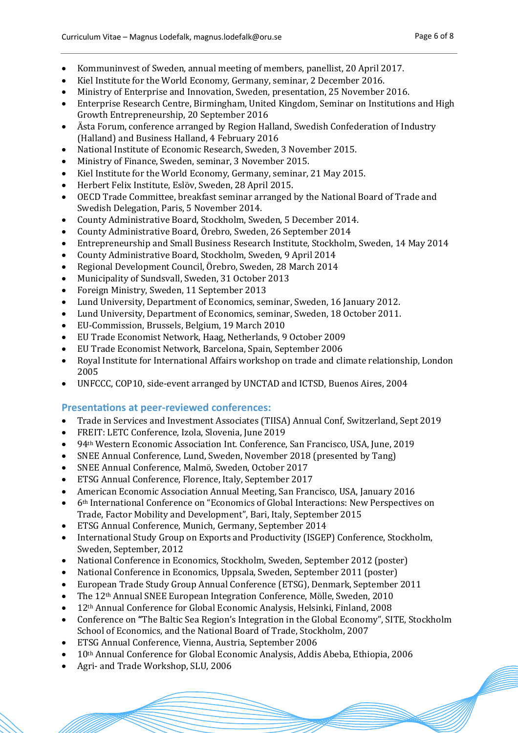- Kommuninvest of Sweden, annual meeting of members, panellist, 20 April 2017.
- Kiel Institute for the World Economy, Germany, seminar, 2 December 2016.
- Ministry of Enterprise and Innovation, Sweden, presentation, 25 November 2016.
- Enterprise Research Centre, Birmingham, United Kingdom, Seminar on Institutions and High Growth Entrepreneurship, 20 September 2016
- Ästa Forum, conference arranged by Region Halland, Swedish Confederation of Industry (Halland) and Business Halland, 4 February 2016
- National Institute of Economic Research, Sweden, 3 November 2015.
- Ministry of Finance, Sweden, seminar, 3 November 2015.
- Kiel Institute for the World Economy, Germany, seminar, 21 May 2015.
- Herbert Felix Institute, Eslöv, Sweden, 28 April 2015.
- OECD Trade Committee, breakfast seminar arranged by the National Board of Trade and Swedish Delegation, Paris, 5 November 2014.
- County Administrative Board, Stockholm, Sweden, 5 December 2014.
- County Administrative Board, Örebro, Sweden, 26 September 2014
- Entrepreneurship and Small Business Research Institute, Stockholm, Sweden, 14 May 2014
- County Administrative Board, Stockholm, Sweden, 9 April 2014
- Regional Development Council, Örebro, Sweden, 28 March 2014
- Municipality of Sundsvall, Sweden, 31 October 2013
- Foreign Ministry, Sweden, 11 September 2013
- Lund University, Department of Economics, seminar, Sweden, 16 January 2012.
- Lund University, Department of Economics, seminar, Sweden, 18 October 2011.
- EU-Commission, Brussels, Belgium, 19 March 2010
- EU Trade Economist Network, Haag, Netherlands, 9 October 2009
- EU Trade Economist Network, Barcelona, Spain, September 2006
- Royal Institute for International Affairs workshop on trade and climate relationship, London 2005
- UNFCCC, COP10, side-event arranged by UNCTAD and ICTSD, Buenos Aires, 2004

# **Presentations at peer-reviewed conferences:**

- Trade in Services and Investment Associates (TIISA) Annual Conf, Switzerland, Sept 2019
- FREIT: LETC Conference, Izola, Slovenia, June 2019
- 94<sup>th</sup> Western Economic Association Int. Conference, San Francisco, USA, June, 2019
- SNEE Annual Conference, Lund, Sweden, November 2018 (presented by Tang)
- SNEE Annual Conference, Malmö , Sweden, October 2017
- ETSG Annual Conference, Florence, Italy, September 2017
- American Economic Association Annual Meeting, San Francisco, USA, January 2016
- 6<sup>th</sup> International Conference on "Economics of Global Interactions: New Perspectives on Trade, Factor Mobility and Development", Bari, Italy, September 2015
- ETSG Annual Conference, Munich, Germany, September 2014
- International Study Group on Exports and Productivity (ISGEP) Conference, Stockholm, Sweden, September, 2012
- National Conference in Economics, Stockholm, Sweden, September 2012 (poster)
- National Conference in Economics, Uppsala, Sweden, September 2011 (poster)
- European Trade Study Group Annual Conference (ETSG), Denmark, September 2011
- The  $12<sup>th</sup>$  Annual SNEE European Integration Conference, Mölle, Sweden, 2010
- 12<sup>th</sup> Annual Conference for Global Economic Analysis, Helsinki, Finland, 2008
- Conference on "The Baltic Sea Region's Integration in the Global Economy", SITE, Stockholm School of Economics, and the National Board of Trade, Stockholm, 2007
- ETSG Annual Conference, Vienna, Austria, September 2006
- $10<sup>th</sup>$  Annual Conference for Global Economic Analysis, Addis Abeba, Ethiopia, 2006
- Agri- and Trade Workshop, SLU, 2006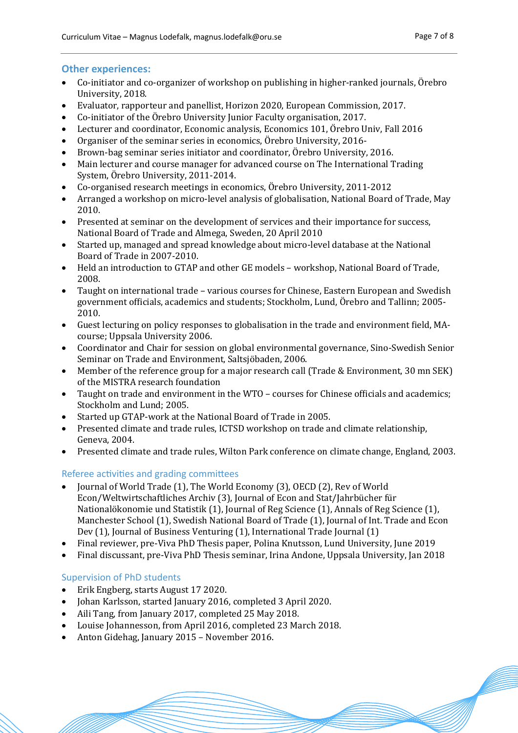## **Other experiences:**

- Co-initiator and co-organizer of workshop on publishing in higher-ranked journals, Örebro University, 2018.
- Evaluator, rapporteur and panellist, Horizon 2020, European Commission, 2017.
- Co-initiator of the Örebro University Junior Faculty organisation, 2017.
- Lecturer and coordinator, Economic analysis, Economics 101, Örebro Univ, Fall 2016
- Organiser of the seminar series in economics, Örebro University, 2016-
- Brown-bag seminar series initiator and coordinator, Örebro University, 2016.
- Main lecturer and course manager for advanced course on The International Trading System, Örebro University, 2011-2014.
- Co-organised research meetings in economics, Örebro University, 2011-2012
- Arranged a workshop on micro-level analysis of globalisation, National Board of Trade, May 2010.
- Presented at seminar on the development of services and their importance for success, National Board of Trade and Almega, Sweden, 20 April 2010
- Started up, managed and spread knowledge about micro-level database at the National Board of Trade in 2007-2010.
- Held an introduction to GTAP and other GE models workshop, National Board of Trade, 2008.
- Taught on international trade various courses for Chinese, Eastern European and Swedish government officials, academics and students; Stockholm, Lund, Örebro and Tallinn; 2005-2010.
- Guest lecturing on policy responses to globalisation in the trade and environment field, MAcourse; Uppsala University 2006.
- Coordinator and Chair for session on global environmental governance, Sino-Swedish Senior Seminar on Trade and Environment, Saltsjöbaden, 2006.
- Member of the reference group for a major research call (Trade & Environment, 30 mn SEK) of the MISTRA research foundation
- Taught on trade and environment in the WTO courses for Chinese officials and academics; Stockholm and Lund; 2005.
- Started up GTAP-work at the National Board of Trade in 2005.
- Presented climate and trade rules, ICTSD workshop on trade and climate relationship, Geneva, 2004.
- Presented climate and trade rules, Wilton Park conference on climate change, England, 2003.

# Referee activities and grading committees

- Journal of World Trade (1), The World Economy (3), OECD (2), Rev of World Econ/Weltwirtschaftliches Archiv (3), Journal of Econ and Stat/Jahrbücher für Nationalökonomie und Statistik (1), Journal of Reg Science (1), Annals of Reg Science (1), Manchester School (1), Swedish National Board of Trade (1), Journal of Int. Trade and Econ Dev  $(1)$ , Journal of Business Venturing  $(1)$ , International Trade Journal  $(1)$
- Final reviewer, pre-Viva PhD Thesis paper, Polina Knutsson, Lund University, June 2019
- Final discussant, pre-Viva PhD Thesis seminar, Irina Andone, Uppsala University, Jan 2018

# Supervision of PhD students

- Erik Engberg, starts August 17 2020.
- Johan Karlsson, started January 2016, completed 3 April 2020.
- Aili Tang, from January 2017, completed 25 May 2018.
- Louise Johannesson, from April 2016, completed 23 March 2018.
- Anton Gidehag, January 2015 November 2016.